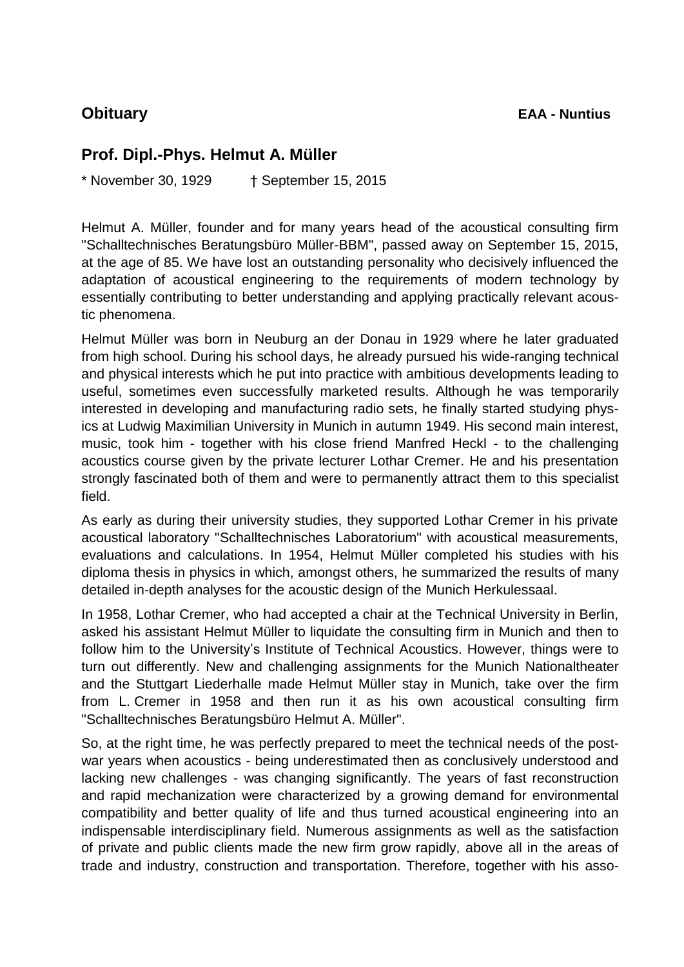## **Prof. Dipl.-Phys. Helmut A. Müller**

\* November 30, 1929 † September 15, 2015

Helmut A. Müller, founder and for many years head of the acoustical consulting firm "Schalltechnisches Beratungsbüro Müller-BBM", passed away on September 15, 2015, at the age of 85. We have lost an outstanding personality who decisively influenced the adaptation of acoustical engineering to the requirements of modern technology by essentially contributing to better understanding and applying practically relevant acoustic phenomena.

Helmut Müller was born in Neuburg an der Donau in 1929 where he later graduated from high school. During his school days, he already pursued his wide-ranging technical and physical interests which he put into practice with ambitious developments leading to useful, sometimes even successfully marketed results. Although he was temporarily interested in developing and manufacturing radio sets, he finally started studying physics at Ludwig Maximilian University in Munich in autumn 1949. His second main interest, music, took him - together with his close friend Manfred Heckl - to the challenging acoustics course given by the private lecturer Lothar Cremer. He and his presentation strongly fascinated both of them and were to permanently attract them to this specialist field.

As early as during their university studies, they supported Lothar Cremer in his private acoustical laboratory "Schalltechnisches Laboratorium" with acoustical measurements, evaluations and calculations. In 1954, Helmut Müller completed his studies with his diploma thesis in physics in which, amongst others, he summarized the results of many detailed in-depth analyses for the acoustic design of the Munich Herkulessaal.

In 1958, Lothar Cremer, who had accepted a chair at the Technical University in Berlin, asked his assistant Helmut Müller to liquidate the consulting firm in Munich and then to follow him to the University's Institute of Technical Acoustics. However, things were to turn out differently. New and challenging assignments for the Munich Nationaltheater and the Stuttgart Liederhalle made Helmut Müller stay in Munich, take over the firm from L. Cremer in 1958 and then run it as his own acoustical consulting firm "Schalltechnisches Beratungsbüro Helmut A. Müller".

So, at the right time, he was perfectly prepared to meet the technical needs of the postwar years when acoustics - being underestimated then as conclusively understood and lacking new challenges - was changing significantly. The years of fast reconstruction and rapid mechanization were characterized by a growing demand for environmental compatibility and better quality of life and thus turned acoustical engineering into an indispensable interdisciplinary field. Numerous assignments as well as the satisfaction of private and public clients made the new firm grow rapidly, above all in the areas of trade and industry, construction and transportation. Therefore, together with his asso